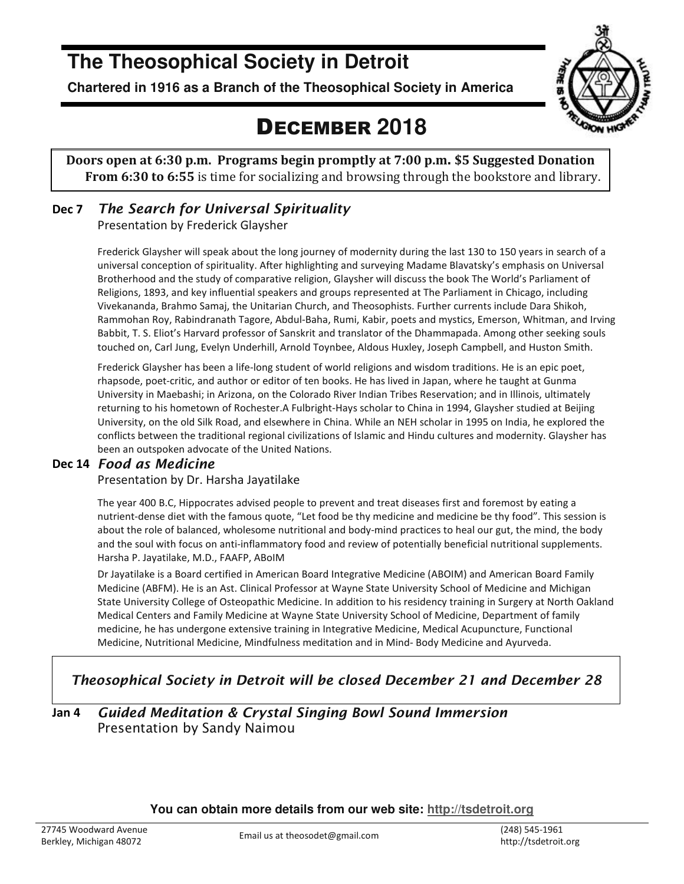## **The Theosophical Society in Detroit**

**Chartered in 1916 as a Branch of the Theosophical Society in America** 



## DECEMBER **2018**

**Doors open at 6:30 p.m. Programs begin promptly at 7:00 p.m. \$5 Suggested Donation From 6:30 to 6:55** is time for socializing and browsing through the bookstore and library.

## **Dec 7** *The Search for Universal Spirituality*

Presentation by Frederick Glaysher

Frederick Glaysher will speak about the long journey of modernity during the last 130 to 150 years in search of a universal conception of spirituality. After highlighting and surveying Madame Blavatsky's emphasis on Universal Brotherhood and the study of comparative religion, Glaysher will discuss the book The World's Parliament of Religions, 1893, and key influential speakers and groups represented at The Parliament in Chicago, including Vivekananda, Brahmo Samaj, the Unitarian Church, and Theosophists. Further currents include Dara Shikoh, Rammohan Roy, Rabindranath Tagore, Abdul-Baha, Rumi, Kabir, poets and mystics, Emerson, Whitman, and Irving Babbit, T. S. Eliot's Harvard professor of Sanskrit and translator of the Dhammapada. Among other seeking souls touched on, Carl Jung, Evelyn Underhill, Arnold Toynbee, Aldous Huxley, Joseph Campbell, and Huston Smith.

Frederick Glaysher has been a life-long student of world religions and wisdom traditions. He is an epic poet, rhapsode, poet-critic, and author or editor of ten books. He has lived in Japan, where he taught at Gunma University in Maebashi; in Arizona, on the Colorado River Indian Tribes Reservation; and in Illinois, ultimately returning to his hometown of Rochester.A Fulbright-Hays scholar to China in 1994, Glaysher studied at Beijing University, on the old Silk Road, and elsewhere in China. While an NEH scholar in 1995 on India, he explored the conflicts between the traditional regional civilizations of Islamic and Hindu cultures and modernity. Glaysher has been an outspoken advocate of the United Nations.

### **Dec 14** *Food as Medicine*

### Presentation by Dr. Harsha Jayatilake

The year 400 B.C, Hippocrates advised people to prevent and treat diseases first and foremost by eating a nutrient-dense diet with the famous quote, "Let food be thy medicine and medicine be thy food". This session is about the role of balanced, wholesome nutritional and body-mind practices to heal our gut, the mind, the body and the soul with focus on anti-inflammatory food and review of potentially beneficial nutritional supplements. Harsha P. Jayatilake, M.D., FAAFP, ABoIM

Dr Jayatilake is a Board certified in American Board Integrative Medicine (ABOIM) and American Board Family Medicine (ABFM). He is an Ast. Clinical Professor at Wayne State University School of Medicine and Michigan State University College of Osteopathic Medicine. In addition to his residency training in Surgery at North Oakland Medical Centers and Family Medicine at Wayne State University School of Medicine, Department of family medicine, he has undergone extensive training in Integrative Medicine, Medical Acupuncture, Functional Medicine, Nutritional Medicine, Mindfulness meditation and in Mind- Body Medicine and Ayurveda.

## *Theosophical Society in Detroit will be closed December 21 and December 28*

### **Jan 4** *Guided Meditation & Crystal Singing Bowl Sound Immersion*  Presentation by Sandy Naimou

**You can obtain more details from our web site: http://tsdetroit.org**